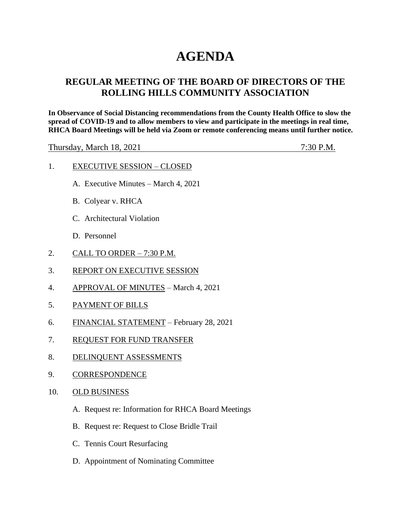# **AGENDA**

## **REGULAR MEETING OF THE BOARD OF DIRECTORS OF THE ROLLING HILLS COMMUNITY ASSOCIATION**

**In Observance of Social Distancing recommendations from the County Health Office to slow the spread of COVID-19 and to allow members to view and participate in the meetings in real time, RHCA Board Meetings will be held via Zoom or remote conferencing means until further notice.** 

Thursday, March 18, 2021 7:30 P.M.

- 1. EXECUTIVE SESSION CLOSED
	- A. Executive Minutes March 4, 2021
	- B. Colyear v. RHCA
	- C. Architectural Violation
	- D. Personnel
- 2. CALL TO ORDER 7:30 P.M.
- 3. REPORT ON EXECUTIVE SESSION
- 4. APPROVAL OF MINUTES March 4, 2021
- 5. PAYMENT OF BILLS
- 6. FINANCIAL STATEMENT February 28, 2021
- 7. REQUEST FOR FUND TRANSFER
- 8. DELINQUENT ASSESSMENTS
- 9. CORRESPONDENCE
- 10. OLD BUSINESS
	- A. Request re: Information for RHCA Board Meetings
	- B. Request re: Request to Close Bridle Trail
	- C. Tennis Court Resurfacing
	- D. Appointment of Nominating Committee